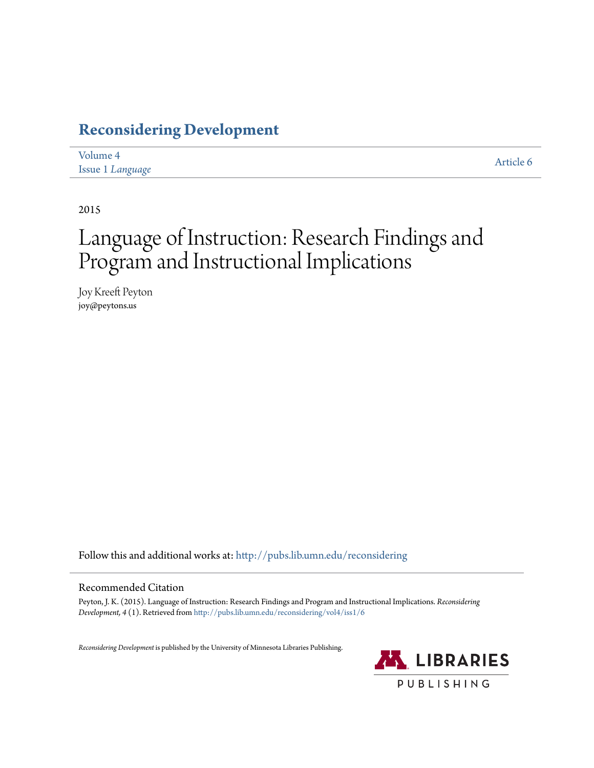# **[Reconsidering Development](http://pubs.lib.umn.edu/reconsidering?utm_source=pubs.lib.umn.edu%2Freconsidering%2Fvol4%2Fiss1%2F6&utm_medium=PDF&utm_campaign=PDFCoverPages)**

| Volume 4                | Article 6 |
|-------------------------|-----------|
| <b>Issue 1 Language</b> |           |

2015

# Language of Instruction: Research Findings and Program and Instructional Implications

Joy Kreeft Peyton joy@peytons.us

Follow this and additional works at: [http://pubs.lib.umn.edu/reconsidering](http://pubs.lib.umn.edu/reconsidering?utm_source=pubs.lib.umn.edu%2Freconsidering%2Fvol4%2Fiss1%2F6&utm_medium=PDF&utm_campaign=PDFCoverPages)

#### Recommended Citation

Peyton, J. K. (2015). Language of Instruction: Research Findings and Program and Instructional Implications. *Reconsidering Development, 4* (1). Retrieved from [http://pubs.lib.umn.edu/reconsidering/vol4/iss1/6](http://pubs.lib.umn.edu/reconsidering/vol4/iss1/6?utm_source=pubs.lib.umn.edu%2Freconsidering%2Fvol4%2Fiss1%2F6&utm_medium=PDF&utm_campaign=PDFCoverPages)

*Reconsidering Development* is published by the University of Minnesota Libraries Publishing.

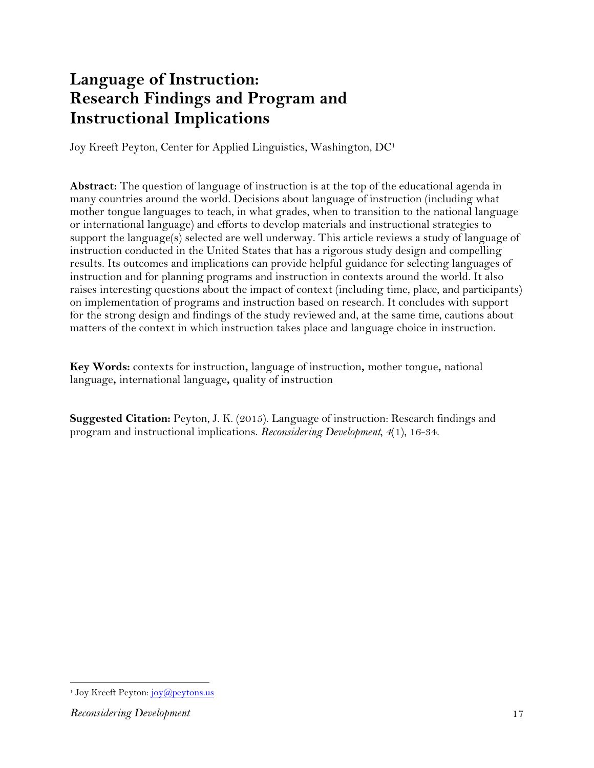# **Language of Instruction: Research Findings and Program and Instructional Implications**

Joy Kreeft Peyton, Center for Applied Linguistics, Washington, DC1

**Abstract:** The question of language of instruction is at the top of the educational agenda in many countries around the world. Decisions about language of instruction (including what mother tongue languages to teach, in what grades, when to transition to the national language or international language) and efforts to develop materials and instructional strategies to support the language(s) selected are well underway. This article reviews a study of language of instruction conducted in the United States that has a rigorous study design and compelling results. Its outcomes and implications can provide helpful guidance for selecting languages of instruction and for planning programs and instruction in contexts around the world. It also raises interesting questions about the impact of context (including time, place, and participants) on implementation of programs and instruction based on research. It concludes with support for the strong design and findings of the study reviewed and, at the same time, cautions about matters of the context in which instruction takes place and language choice in instruction.

**Key Words:** contexts for instruction**,** language of instruction**,** mother tongue**,** national language**,** international language**,** quality of instruction

**Suggested Citation:** Peyton, J. K. (2015). Language of instruction: Research findings and program and instructional implications. *Reconsidering Development, 4*(1), 16-34.

 <sup>1</sup> Joy Kreeft Peyton: joy@peytons.us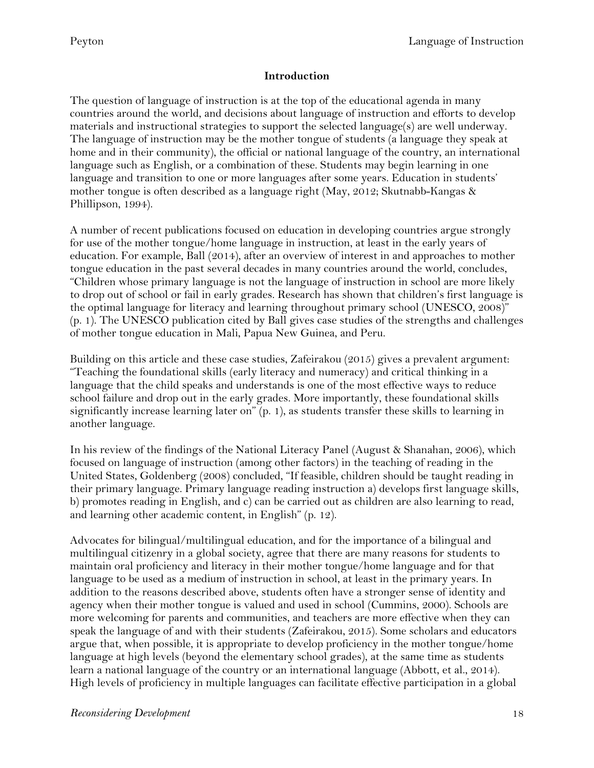#### **Introduction**

The question of language of instruction is at the top of the educational agenda in many countries around the world, and decisions about language of instruction and efforts to develop materials and instructional strategies to support the selected language(s) are well underway. The language of instruction may be the mother tongue of students (a language they speak at home and in their community), the official or national language of the country, an international language such as English, or a combination of these. Students may begin learning in one language and transition to one or more languages after some years. Education in students' mother tongue is often described as a language right (May, 2012; Skutnabb-Kangas & Phillipson, 1994).

A number of recent publications focused on education in developing countries argue strongly for use of the mother tongue/home language in instruction, at least in the early years of education. For example, Ball (2014), after an overview of interest in and approaches to mother tongue education in the past several decades in many countries around the world, concludes, "Children whose primary language is not the language of instruction in school are more likely to drop out of school or fail in early grades. Research has shown that children's first language is the optimal language for literacy and learning throughout primary school (UNESCO, 2008)" (p. 1). The UNESCO publication cited by Ball gives case studies of the strengths and challenges of mother tongue education in Mali, Papua New Guinea, and Peru.

Building on this article and these case studies, Zafeirakou (2015) gives a prevalent argument: "Teaching the foundational skills (early literacy and numeracy) and critical thinking in a language that the child speaks and understands is one of the most effective ways to reduce school failure and drop out in the early grades. More importantly, these foundational skills significantly increase learning later on" (p. 1), as students transfer these skills to learning in another language.

In his review of the findings of the National Literacy Panel (August & Shanahan, 2006), which focused on language of instruction (among other factors) in the teaching of reading in the United States, Goldenberg (2008) concluded, "If feasible, children should be taught reading in their primary language. Primary language reading instruction a) develops first language skills, b) promotes reading in English, and c) can be carried out as children are also learning to read, and learning other academic content, in English" (p. 12).

Advocates for bilingual/multilingual education, and for the importance of a bilingual and multilingual citizenry in a global society, agree that there are many reasons for students to maintain oral proficiency and literacy in their mother tongue/home language and for that language to be used as a medium of instruction in school, at least in the primary years. In addition to the reasons described above, students often have a stronger sense of identity and agency when their mother tongue is valued and used in school (Cummins, 2000). Schools are more welcoming for parents and communities, and teachers are more effective when they can speak the language of and with their students (Zafeirakou, 2015). Some scholars and educators argue that, when possible, it is appropriate to develop proficiency in the mother tongue/home language at high levels (beyond the elementary school grades), at the same time as students learn a national language of the country or an international language (Abbott, et al., 2014). High levels of proficiency in multiple languages can facilitate effective participation in a global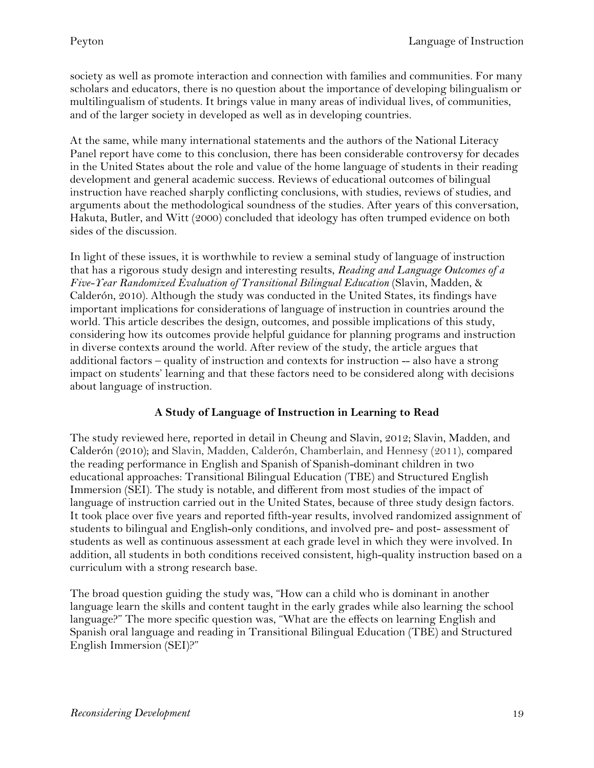society as well as promote interaction and connection with families and communities. For many scholars and educators, there is no question about the importance of developing bilingualism or multilingualism of students. It brings value in many areas of individual lives, of communities, and of the larger society in developed as well as in developing countries.

At the same, while many international statements and the authors of the National Literacy Panel report have come to this conclusion, there has been considerable controversy for decades in the United States about the role and value of the home language of students in their reading development and general academic success. Reviews of educational outcomes of bilingual instruction have reached sharply conflicting conclusions, with studies, reviews of studies, and arguments about the methodological soundness of the studies. After years of this conversation, Hakuta, Butler, and Witt (2000) concluded that ideology has often trumped evidence on both sides of the discussion.

In light of these issues, it is worthwhile to review a seminal study of language of instruction that has a rigorous study design and interesting results, *Reading and Language Outcomes of a Five-Year Randomized Evaluation of Transitional Bilingual Education* (Slavin, Madden, & Calderón, 2010). Although the study was conducted in the United States, its findings have important implications for considerations of language of instruction in countries around the world. This article describes the design, outcomes, and possible implications of this study, considering how its outcomes provide helpful guidance for planning programs and instruction in diverse contexts around the world. After review of the study, the article argues that additional factors – quality of instruction and contexts for instruction -- also have a strong impact on students' learning and that these factors need to be considered along with decisions about language of instruction.

#### **A Study of Language of Instruction in Learning to Read**

The study reviewed here, reported in detail in Cheung and Slavin, 2012; Slavin, Madden, and Calderón (2010); and Slavin, Madden, Calderón, Chamberlain, and Hennesy (2011), compared the reading performance in English and Spanish of Spanish-dominant children in two educational approaches: Transitional Bilingual Education (TBE) and Structured English Immersion (SEI). The study is notable, and different from most studies of the impact of language of instruction carried out in the United States, because of three study design factors. It took place over five years and reported fifth-year results, involved randomized assignment of students to bilingual and English-only conditions, and involved pre- and post- assessment of students as well as continuous assessment at each grade level in which they were involved. In addition, all students in both conditions received consistent, high-quality instruction based on a curriculum with a strong research base.

The broad question guiding the study was, "How can a child who is dominant in another language learn the skills and content taught in the early grades while also learning the school language?" The more specific question was, "What are the effects on learning English and Spanish oral language and reading in Transitional Bilingual Education (TBE) and Structured English Immersion (SEI)?"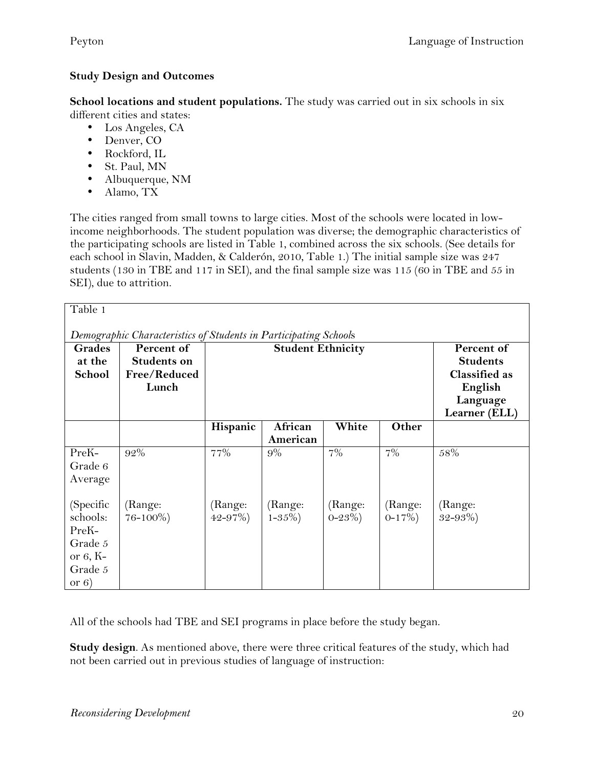### **Study Design and Outcomes**

**School locations and student populations.** The study was carried out in six schools in six different cities and states:

- Los Angeles, CA
- Denver, CO
- Rockford, IL
- St. Paul, MN
- Albuquerque, NM
- Alamo, TX

The cities ranged from small towns to large cities. Most of the schools were located in lowincome neighborhoods. The student population was diverse; the demographic characteristics of the participating schools are listed in Table 1, combined across the six schools. (See details for each school in Slavin, Madden, & Calderón, 2010, Table 1.) The initial sample size was 247 students (130 in TBE and 117 in SEI), and the final sample size was 115 (60 in TBE and 55 in SEI), due to attrition.

| Table 1                                                          |                    |                          |             |             |                      |               |  |
|------------------------------------------------------------------|--------------------|--------------------------|-------------|-------------|----------------------|---------------|--|
|                                                                  |                    |                          |             |             |                      |               |  |
| Demographic Characteristics of Students in Participating Schools |                    |                          |             |             |                      |               |  |
| <b>Grades</b>                                                    | Percent of         | <b>Student Ethnicity</b> |             |             | Percent of           |               |  |
| at the                                                           | <b>Students on</b> |                          |             |             | <b>Students</b>      |               |  |
| School                                                           | Free/Reduced       |                          |             |             | <b>Classified as</b> |               |  |
|                                                                  | Lunch              |                          |             |             | English              |               |  |
|                                                                  |                    |                          |             |             |                      | Language      |  |
|                                                                  |                    |                          |             |             |                      | Learner (ELL) |  |
|                                                                  |                    | Hispanic                 | African     | White       | Other                |               |  |
|                                                                  |                    |                          | American    |             |                      |               |  |
| PreK-                                                            | 92%                | 77%                      | 9%          | 7%          | 7%                   | 58%           |  |
| Grade 6                                                          |                    |                          |             |             |                      |               |  |
| Average                                                          |                    |                          |             |             |                      |               |  |
|                                                                  |                    |                          |             |             |                      |               |  |
| (Specific                                                        | (Range:            | (Range:                  | (Range:     | (Range:     | (Range:              | (Range:       |  |
| schools:                                                         | $76 - 100\%)$      | $42 - 97\%)$             | $1 - 35\%)$ | $0 - 23\%)$ | $0-17\%)$            | $32 - 93\%)$  |  |
| PreK-                                                            |                    |                          |             |             |                      |               |  |
|                                                                  |                    |                          |             |             |                      |               |  |
| Grade 5                                                          |                    |                          |             |             |                      |               |  |
| or $6, K$ -                                                      |                    |                          |             |             |                      |               |  |
| Grade 5                                                          |                    |                          |             |             |                      |               |  |
| or $6)$                                                          |                    |                          |             |             |                      |               |  |

All of the schools had TBE and SEI programs in place before the study began.

**Study design**. As mentioned above, there were three critical features of the study, which had not been carried out in previous studies of language of instruction: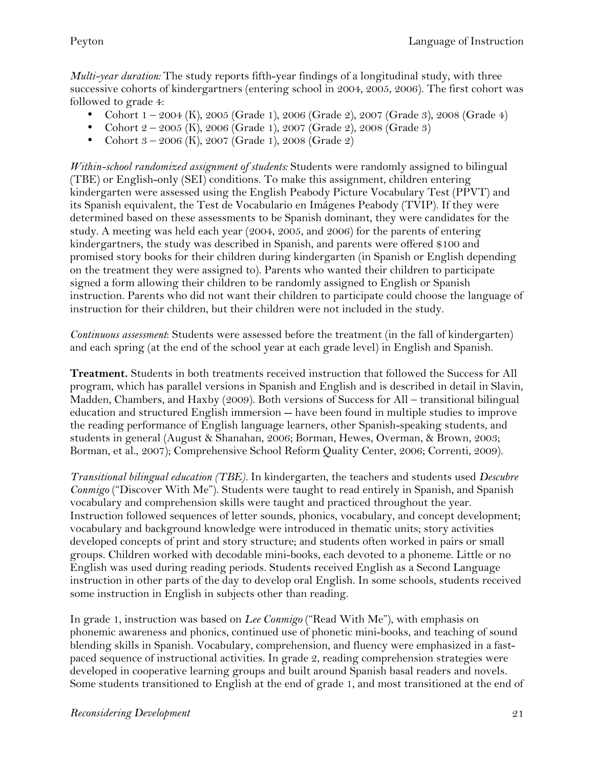*Multi-year duration:* The study reports fifth-year findings of a longitudinal study, with three successive cohorts of kindergartners (entering school in 2004, 2005, 2006). The first cohort was followed to grade 4:

- Cohort 1 2004 (K), 2005 (Grade 1), 2006 (Grade 2), 2007 (Grade 3), 2008 (Grade 4)
- Cohort  $2 2005$  (K), 2006 (Grade 1), 2007 (Grade 2), 2008 (Grade 3)
- Cohort 3 2006 (K), 2007 (Grade 1), 2008 (Grade 2)

*Within-school randomized assignment of students:* Students were randomly assigned to bilingual (TBE) or English-only (SEI) conditions. To make this assignment, children entering kindergarten were assessed using the English Peabody Picture Vocabulary Test (PPVT) and its Spanish equivalent, the Test de Vocabulario en Imágenes Peabody (TVIP). If they were determined based on these assessments to be Spanish dominant, they were candidates for the study. A meeting was held each year (2004, 2005, and 2006) for the parents of entering kindergartners, the study was described in Spanish, and parents were offered \$100 and promised story books for their children during kindergarten (in Spanish or English depending on the treatment they were assigned to). Parents who wanted their children to participate signed a form allowing their children to be randomly assigned to English or Spanish instruction. Parents who did not want their children to participate could choose the language of instruction for their children, but their children were not included in the study.

*Continuous assessment*: Students were assessed before the treatment (in the fall of kindergarten) and each spring (at the end of the school year at each grade level) in English and Spanish.

**Treatment.** Students in both treatments received instruction that followed the Success for All program, which has parallel versions in Spanish and English and is described in detail in Slavin, Madden, Chambers, and Haxby (2009). Both versions of Success for All – transitional bilingual education and structured English immersion -- have been found in multiple studies to improve the reading performance of English language learners, other Spanish-speaking students, and students in general (August & Shanahan, 2006; Borman, Hewes, Overman, & Brown, 2003; Borman, et al., 2007); Comprehensive School Reform Quality Center, 2006; Correnti, 2009).

*Transitional bilingual education (TBE).* In kindergarten, the teachers and students used *Descubre Conmigo* ("Discover With Me"). Students were taught to read entirely in Spanish, and Spanish vocabulary and comprehension skills were taught and practiced throughout the year. Instruction followed sequences of letter sounds, phonics, vocabulary, and concept development; vocabulary and background knowledge were introduced in thematic units; story activities developed concepts of print and story structure; and students often worked in pairs or small groups. Children worked with decodable mini-books, each devoted to a phoneme. Little or no English was used during reading periods. Students received English as a Second Language instruction in other parts of the day to develop oral English. In some schools, students received some instruction in English in subjects other than reading.

In grade 1, instruction was based on *Lee Conmigo* ("Read With Me"), with emphasis on phonemic awareness and phonics, continued use of phonetic mini-books, and teaching of sound blending skills in Spanish. Vocabulary, comprehension, and fluency were emphasized in a fastpaced sequence of instructional activities. In grade 2, reading comprehension strategies were developed in cooperative learning groups and built around Spanish basal readers and novels. Some students transitioned to English at the end of grade 1, and most transitioned at the end of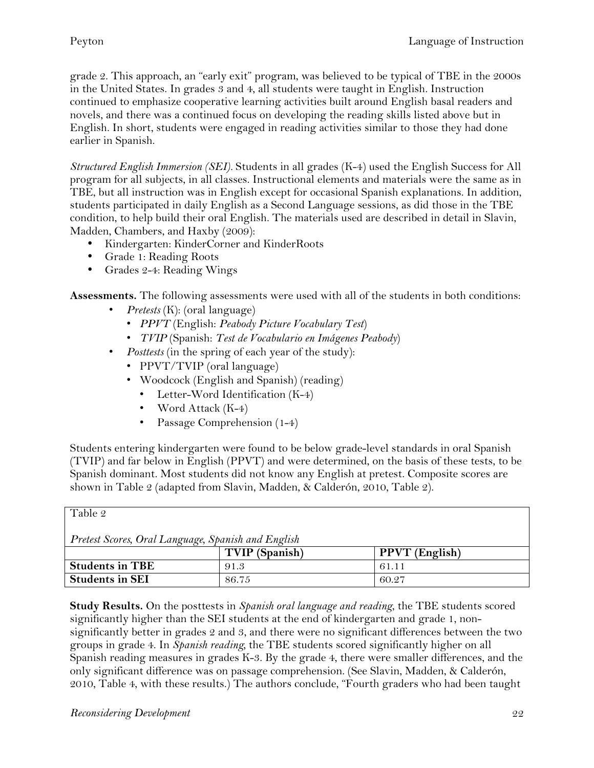grade 2. This approach, an "early exit" program, was believed to be typical of TBE in the 2000s in the United States. In grades 3 and 4, all students were taught in English. Instruction continued to emphasize cooperative learning activities built around English basal readers and novels, and there was a continued focus on developing the reading skills listed above but in English. In short, students were engaged in reading activities similar to those they had done earlier in Spanish.

*Structured English Immersion (SEI).* Students in all grades (K-4) used the English Success for All program for all subjects, in all classes. Instructional elements and materials were the same as in TBE, but all instruction was in English except for occasional Spanish explanations. In addition, students participated in daily English as a Second Language sessions, as did those in the TBE condition, to help build their oral English. The materials used are described in detail in Slavin, Madden, Chambers, and Haxby (2009):

- Kindergarten: KinderCorner and KinderRoots
- Grade 1: Reading Roots
- Grades 2-4: Reading Wings

**Assessments.** The following assessments were used with all of the students in both conditions:

- *Pretests* (K): (oral language)
	- *PPVT* (English: *Peabody Picture Vocabulary Test*)
	- *TVIP* (Spanish: *Test de Vocabulario en Imágenes Peabody*)
- *Posttests* (in the spring of each year of the study):
	- PPVT/TVIP (oral language)
	- Woodcock (English and Spanish) (reading)
		- Letter-Word Identification (K-4)
		- Word Attack (K-4)
		- Passage Comprehension (1-4)

Students entering kindergarten were found to be below grade-level standards in oral Spanish (TVIP) and far below in English (PPVT) and were determined, on the basis of these tests, to be Spanish dominant. Most students did not know any English at pretest. Composite scores are shown in Table 2 (adapted from Slavin, Madden, & Calderón, 2010, Table 2).

| Table 2                                            |                       |                       |  |  |  |  |  |
|----------------------------------------------------|-----------------------|-----------------------|--|--|--|--|--|
| Pretest Scores, Oral Language, Spanish and English |                       |                       |  |  |  |  |  |
|                                                    | <b>TVIP</b> (Spanish) | <b>PPVT</b> (English) |  |  |  |  |  |
| <b>Students in TBE</b>                             | 91.3                  | 61.11                 |  |  |  |  |  |
| <b>Students in SEI</b>                             | 86.75                 | 60.27                 |  |  |  |  |  |

**Study Results.** On the posttests in *Spanish oral language and reading*, the TBE students scored significantly higher than the SEI students at the end of kindergarten and grade 1, nonsignificantly better in grades 2 and 3, and there were no significant differences between the two groups in grade 4. In *Spanish reading,* the TBE students scored significantly higher on all Spanish reading measures in grades K-3. By the grade 4, there were smaller differences, and the only significant difference was on passage comprehension. (See Slavin, Madden, & Calderón, 2010, Table 4, with these results.) The authors conclude, "Fourth graders who had been taught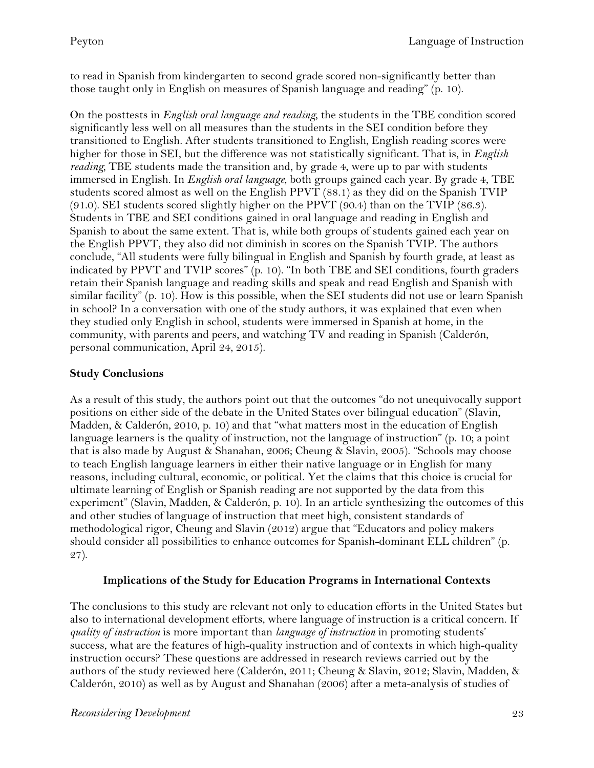to read in Spanish from kindergarten to second grade scored non-significantly better than those taught only in English on measures of Spanish language and reading" (p. 10).

On the posttests in *English oral language and reading,* the students in the TBE condition scored significantly less well on all measures than the students in the SEI condition before they transitioned to English. After students transitioned to English, English reading scores were higher for those in SEI, but the difference was not statistically significant. That is, in *English reading,* TBE students made the transition and, by grade 4, were up to par with students immersed in English. In *English oral language*, both groups gained each year. By grade 4, TBE students scored almost as well on the English PPVT (88.1) as they did on the Spanish TVIP (91.0). SEI students scored slightly higher on the PPVT (90.4) than on the TVIP (86.3). Students in TBE and SEI conditions gained in oral language and reading in English and Spanish to about the same extent. That is, while both groups of students gained each year on the English PPVT, they also did not diminish in scores on the Spanish TVIP. The authors conclude, "All students were fully bilingual in English and Spanish by fourth grade, at least as indicated by PPVT and TVIP scores" (p. 10). "In both TBE and SEI conditions, fourth graders retain their Spanish language and reading skills and speak and read English and Spanish with similar facility" (p. 10). How is this possible, when the SEI students did not use or learn Spanish in school? In a conversation with one of the study authors, it was explained that even when they studied only English in school, students were immersed in Spanish at home, in the community, with parents and peers, and watching TV and reading in Spanish (Calderón, personal communication, April 24, 2015).

#### **Study Conclusions**

As a result of this study, the authors point out that the outcomes "do not unequivocally support positions on either side of the debate in the United States over bilingual education" (Slavin, Madden, & Calderón, 2010, p. 10) and that "what matters most in the education of English language learners is the quality of instruction, not the language of instruction" (p. 10; a point that is also made by August & Shanahan, 2006; Cheung & Slavin, 2005). "Schools may choose to teach English language learners in either their native language or in English for many reasons, including cultural, economic, or political. Yet the claims that this choice is crucial for ultimate learning of English or Spanish reading are not supported by the data from this experiment" (Slavin, Madden, & Calderón, p. 10). In an article synthesizing the outcomes of this and other studies of language of instruction that meet high, consistent standards of methodological rigor, Cheung and Slavin (2012) argue that "Educators and policy makers should consider all possibilities to enhance outcomes for Spanish-dominant ELL children" (p. 27).

#### **Implications of the Study for Education Programs in International Contexts**

The conclusions to this study are relevant not only to education efforts in the United States but also to international development efforts, where language of instruction is a critical concern. If *quality of instruction* is more important than *language of instruction* in promoting students' success, what are the features of high-quality instruction and of contexts in which high-quality instruction occurs? These questions are addressed in research reviews carried out by the authors of the study reviewed here (Calderón, 2011; Cheung & Slavin, 2012; Slavin, Madden, & Calderón, 2010) as well as by August and Shanahan (2006) after a meta-analysis of studies of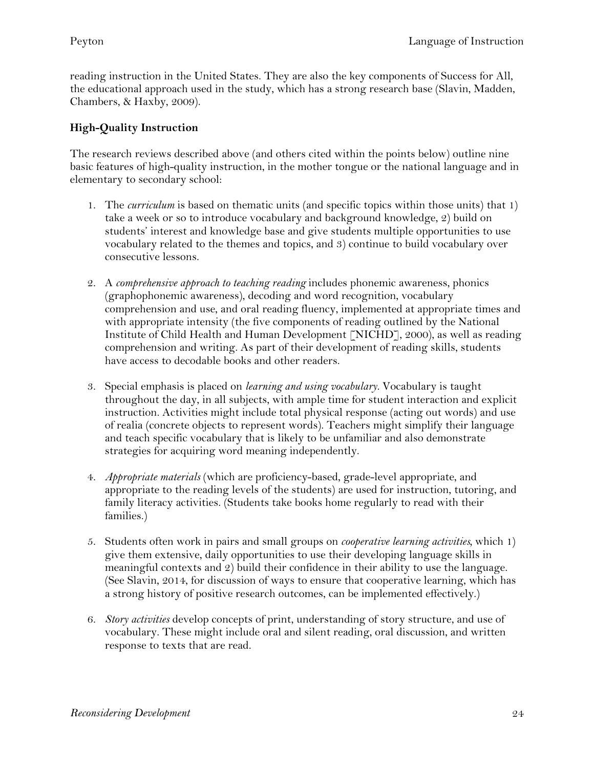reading instruction in the United States. They are also the key components of Success for All, the educational approach used in the study, which has a strong research base (Slavin, Madden, Chambers, & Haxby, 2009).

## **High-Quality Instruction**

The research reviews described above (and others cited within the points below) outline nine basic features of high-quality instruction, in the mother tongue or the national language and in elementary to secondary school:

- 1. The *curriculum* is based on thematic units (and specific topics within those units) that 1) take a week or so to introduce vocabulary and background knowledge, 2) build on students' interest and knowledge base and give students multiple opportunities to use vocabulary related to the themes and topics, and 3) continue to build vocabulary over consecutive lessons.
- 2. A *comprehensive approach to teaching reading* includes phonemic awareness, phonics (graphophonemic awareness), decoding and word recognition, vocabulary comprehension and use, and oral reading fluency, implemented at appropriate times and with appropriate intensity (the five components of reading outlined by the National Institute of Child Health and Human Development [NICHD], 2000), as well as reading comprehension and writing. As part of their development of reading skills, students have access to decodable books and other readers.
- 3. Special emphasis is placed on *learning and using vocabulary.* Vocabulary is taught throughout the day, in all subjects, with ample time for student interaction and explicit instruction. Activities might include total physical response (acting out words) and use of realia (concrete objects to represent words). Teachers might simplify their language and teach specific vocabulary that is likely to be unfamiliar and also demonstrate strategies for acquiring word meaning independently.
- 4. *Appropriate materials* (which are proficiency-based, grade-level appropriate, and appropriate to the reading levels of the students) are used for instruction, tutoring, and family literacy activities. (Students take books home regularly to read with their families.)
- 5. Students often work in pairs and small groups on *cooperative learning activities,* which 1) give them extensive, daily opportunities to use their developing language skills in meaningful contexts and 2) build their confidence in their ability to use the language. (See Slavin, 2014, for discussion of ways to ensure that cooperative learning, which has a strong history of positive research outcomes, can be implemented effectively.)
- 6. *Story activities* develop concepts of print, understanding of story structure, and use of vocabulary. These might include oral and silent reading, oral discussion, and written response to texts that are read.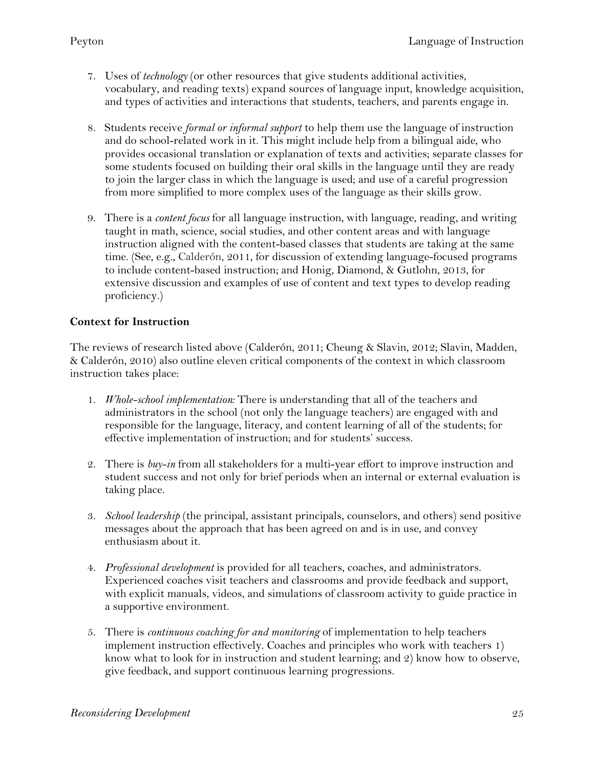- 7. Uses of *technology* (or other resources that give students additional activities, vocabulary, and reading texts) expand sources of language input, knowledge acquisition, and types of activities and interactions that students, teachers, and parents engage in.
- 8. Students receive *formal or informal support* to help them use the language of instruction and do school-related work in it. This might include help from a bilingual aide, who provides occasional translation or explanation of texts and activities; separate classes for some students focused on building their oral skills in the language until they are ready to join the larger class in which the language is used; and use of a careful progression from more simplified to more complex uses of the language as their skills grow.
- 9. There is a *content focus* for all language instruction*,* with language, reading, and writing taught in math, science, social studies, and other content areas and with language instruction aligned with the content-based classes that students are taking at the same time. (See, e.g., Calderón, 2011, for discussion of extending language-focused programs to include content-based instruction; and Honig, Diamond, & Gutlohn, 2013, for extensive discussion and examples of use of content and text types to develop reading proficiency.)

#### **Context for Instruction**

The reviews of research listed above (Calderón, 2011; Cheung & Slavin, 2012; Slavin, Madden, & Calderón, 2010) also outline eleven critical components of the context in which classroom instruction takes place:

- 1. *Whole-school implementation:* There is understanding that all of the teachers and administrators in the school (not only the language teachers) are engaged with and responsible for the language, literacy, and content learning of all of the students; for effective implementation of instruction; and for students' success.
- 2. There is *buy-in* from all stakeholders for a multi-year effort to improve instruction and student success and not only for brief periods when an internal or external evaluation is taking place.
- 3. *School leadership* (the principal, assistant principals, counselors, and others) send positive messages about the approach that has been agreed on and is in use, and convey enthusiasm about it.
- 4. *Professional development* is provided for all teachers, coaches, and administrators. Experienced coaches visit teachers and classrooms and provide feedback and support, with explicit manuals, videos, and simulations of classroom activity to guide practice in a supportive environment.
- 5. There is *continuous coaching for and monitoring* of implementation to help teachers implement instruction effectively. Coaches and principles who work with teachers 1) know what to look for in instruction and student learning; and 2) know how to observe, give feedback, and support continuous learning progressions.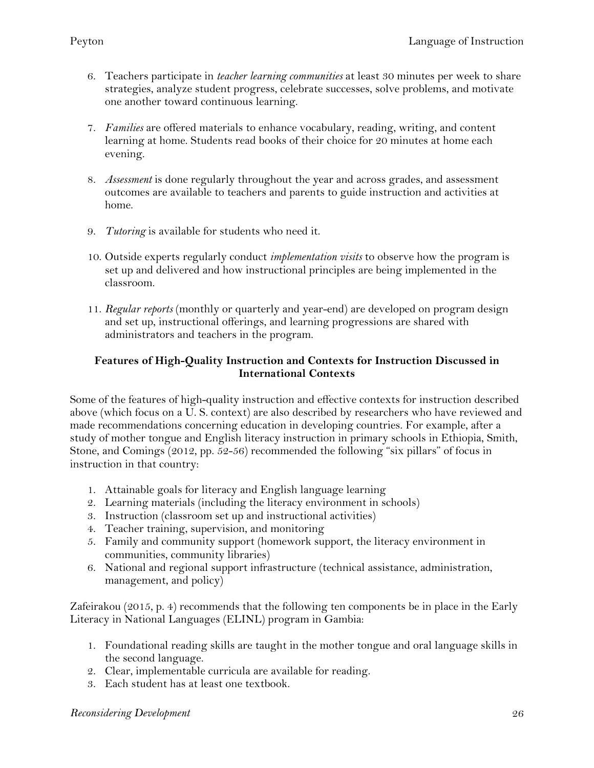- 6. Teachers participate in *teacher learning communities* at least 30 minutes per week to share strategies, analyze student progress, celebrate successes, solve problems, and motivate one another toward continuous learning.
- 7. *Families* are offered materials to enhance vocabulary, reading, writing, and content learning at home. Students read books of their choice for 20 minutes at home each evening.
- 8. *Assessment* is done regularly throughout the year and across grades, and assessment outcomes are available to teachers and parents to guide instruction and activities at home.
- 9. *Tutoring* is available for students who need it.
- 10. Outside experts regularly conduct *implementation visits* to observe how the program is set up and delivered and how instructional principles are being implemented in the classroom.
- 11. *Regular reports* (monthly or quarterly and year-end) are developed on program design and set up, instructional offerings, and learning progressions are shared with administrators and teachers in the program.

#### **Features of High-Quality Instruction and Contexts for Instruction Discussed in International Contexts**

Some of the features of high-quality instruction and effective contexts for instruction described above (which focus on a U. S. context) are also described by researchers who have reviewed and made recommendations concerning education in developing countries. For example, after a study of mother tongue and English literacy instruction in primary schools in Ethiopia, Smith, Stone, and Comings (2012, pp. 52-56) recommended the following "six pillars" of focus in instruction in that country:

- 1. Attainable goals for literacy and English language learning
- 2. Learning materials (including the literacy environment in schools)
- 3. Instruction (classroom set up and instructional activities)
- 4. Teacher training, supervision, and monitoring
- 5. Family and community support (homework support, the literacy environment in communities, community libraries)
- 6. National and regional support infrastructure (technical assistance, administration, management, and policy)

Zafeirakou (2015, p. 4) recommends that the following ten components be in place in the Early Literacy in National Languages (ELINL) program in Gambia:

- 1. Foundational reading skills are taught in the mother tongue and oral language skills in the second language.
- 2. Clear, implementable curricula are available for reading.
- 3. Each student has at least one textbook.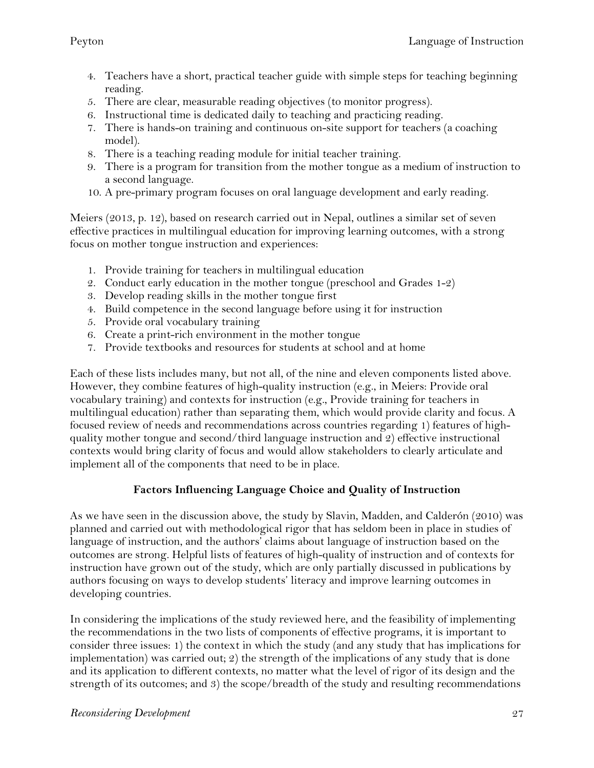- 4. Teachers have a short, practical teacher guide with simple steps for teaching beginning reading.
- 5. There are clear, measurable reading objectives (to monitor progress).
- 6. Instructional time is dedicated daily to teaching and practicing reading.
- 7. There is hands-on training and continuous on-site support for teachers (a coaching model).
- 8. There is a teaching reading module for initial teacher training.
- 9. There is a program for transition from the mother tongue as a medium of instruction to a second language.
- 10. A pre-primary program focuses on oral language development and early reading.

Meiers (2013, p. 12), based on research carried out in Nepal, outlines a similar set of seven effective practices in multilingual education for improving learning outcomes, with a strong focus on mother tongue instruction and experiences:

- 1. Provide training for teachers in multilingual education
- 2. Conduct early education in the mother tongue (preschool and Grades 1-2)
- 3. Develop reading skills in the mother tongue first
- 4. Build competence in the second language before using it for instruction
- 5. Provide oral vocabulary training
- 6. Create a print-rich environment in the mother tongue
- 7. Provide textbooks and resources for students at school and at home

Each of these lists includes many, but not all, of the nine and eleven components listed above. However, they combine features of high-quality instruction (e.g., in Meiers: Provide oral vocabulary training) and contexts for instruction (e.g., Provide training for teachers in multilingual education) rather than separating them, which would provide clarity and focus. A focused review of needs and recommendations across countries regarding 1) features of highquality mother tongue and second/third language instruction and 2) effective instructional contexts would bring clarity of focus and would allow stakeholders to clearly articulate and implement all of the components that need to be in place.

# **Factors Influencing Language Choice and Quality of Instruction**

As we have seen in the discussion above, the study by Slavin, Madden, and Calderón (2010) was planned and carried out with methodological rigor that has seldom been in place in studies of language of instruction, and the authors' claims about language of instruction based on the outcomes are strong. Helpful lists of features of high-quality of instruction and of contexts for instruction have grown out of the study, which are only partially discussed in publications by authors focusing on ways to develop students' literacy and improve learning outcomes in developing countries.

In considering the implications of the study reviewed here, and the feasibility of implementing the recommendations in the two lists of components of effective programs, it is important to consider three issues: 1) the context in which the study (and any study that has implications for implementation) was carried out; 2) the strength of the implications of any study that is done and its application to different contexts, no matter what the level of rigor of its design and the strength of its outcomes; and 3) the scope/breadth of the study and resulting recommendations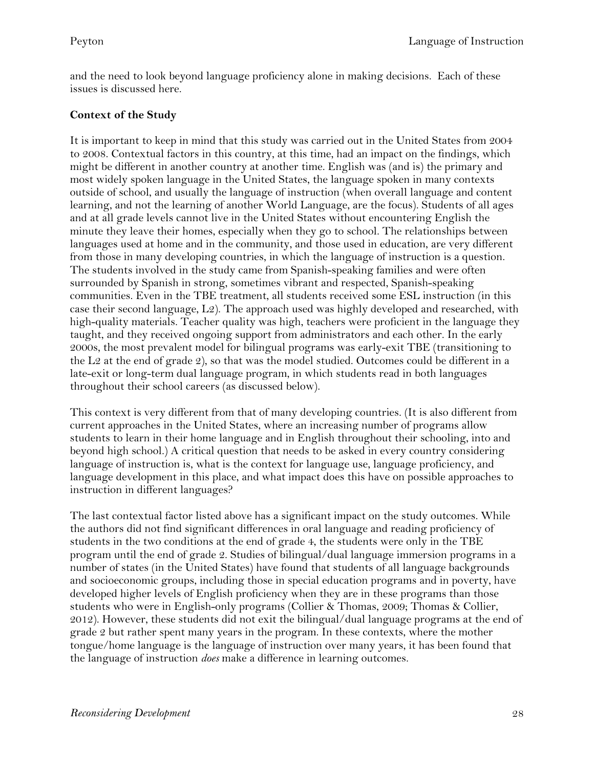and the need to look beyond language proficiency alone in making decisions. Each of these issues is discussed here.

#### **Context of the Study**

It is important to keep in mind that this study was carried out in the United States from 2004 to 2008. Contextual factors in this country, at this time, had an impact on the findings, which might be different in another country at another time. English was (and is) the primary and most widely spoken language in the United States, the language spoken in many contexts outside of school, and usually the language of instruction (when overall language and content learning, and not the learning of another World Language, are the focus). Students of all ages and at all grade levels cannot live in the United States without encountering English the minute they leave their homes, especially when they go to school. The relationships between languages used at home and in the community, and those used in education, are very different from those in many developing countries, in which the language of instruction is a question. The students involved in the study came from Spanish-speaking families and were often surrounded by Spanish in strong, sometimes vibrant and respected, Spanish-speaking communities. Even in the TBE treatment, all students received some ESL instruction (in this case their second language, L2). The approach used was highly developed and researched, with high-quality materials. Teacher quality was high, teachers were proficient in the language they taught, and they received ongoing support from administrators and each other. In the early 2000s, the most prevalent model for bilingual programs was early-exit TBE (transitioning to the L<sub>2</sub> at the end of grade 2), so that was the model studied. Outcomes could be different in a late-exit or long-term dual language program, in which students read in both languages throughout their school careers (as discussed below).

This context is very different from that of many developing countries. (It is also different from current approaches in the United States, where an increasing number of programs allow students to learn in their home language and in English throughout their schooling, into and beyond high school.) A critical question that needs to be asked in every country considering language of instruction is, what is the context for language use, language proficiency, and language development in this place, and what impact does this have on possible approaches to instruction in different languages?

The last contextual factor listed above has a significant impact on the study outcomes. While the authors did not find significant differences in oral language and reading proficiency of students in the two conditions at the end of grade 4, the students were only in the TBE program until the end of grade 2. Studies of bilingual/dual language immersion programs in a number of states (in the United States) have found that students of all language backgrounds and socioeconomic groups, including those in special education programs and in poverty, have developed higher levels of English proficiency when they are in these programs than those students who were in English-only programs (Collier & Thomas, 2009; Thomas & Collier, 2012). However, these students did not exit the bilingual/dual language programs at the end of grade 2 but rather spent many years in the program. In these contexts, where the mother tongue/home language is the language of instruction over many years, it has been found that the language of instruction *does* make a difference in learning outcomes.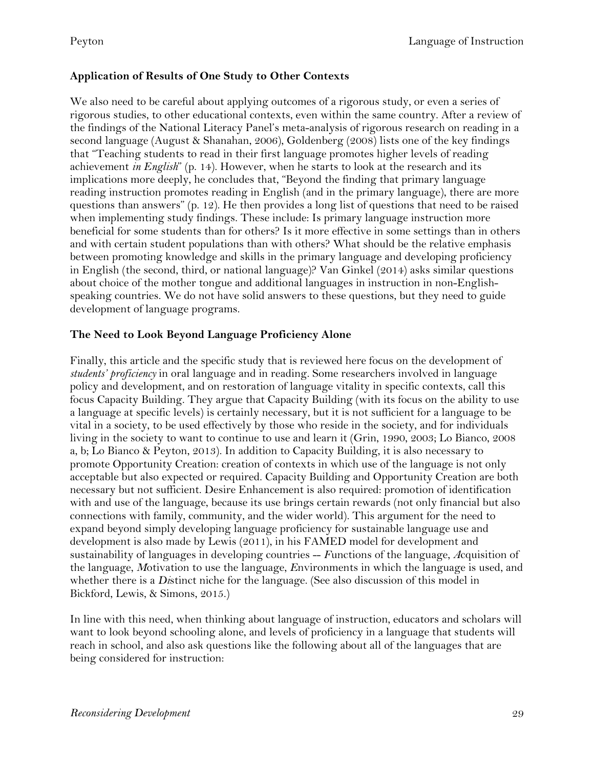## **Application of Results of One Study to Other Contexts**

We also need to be careful about applying outcomes of a rigorous study, or even a series of rigorous studies, to other educational contexts, even within the same country. After a review of the findings of the National Literacy Panel's meta-analysis of rigorous research on reading in a second language (August & Shanahan, 2006), Goldenberg (2008) lists one of the key findings that "Teaching students to read in their first language promotes higher levels of reading achievement *in English*" (p. 14). However, when he starts to look at the research and its implications more deeply, he concludes that, "Beyond the finding that primary language reading instruction promotes reading in English (and in the primary language), there are more questions than answers" (p. 12). He then provides a long list of questions that need to be raised when implementing study findings. These include: Is primary language instruction more beneficial for some students than for others? Is it more effective in some settings than in others and with certain student populations than with others? What should be the relative emphasis between promoting knowledge and skills in the primary language and developing proficiency in English (the second, third, or national language)? Van Ginkel (2014) asks similar questions about choice of the mother tongue and additional languages in instruction in non-Englishspeaking countries. We do not have solid answers to these questions, but they need to guide development of language programs.

#### **The Need to Look Beyond Language Proficiency Alone**

Finally, this article and the specific study that is reviewed here focus on the development of *students' proficiency* in oral language and in reading. Some researchers involved in language policy and development, and on restoration of language vitality in specific contexts, call this focus Capacity Building. They argue that Capacity Building (with its focus on the ability to use a language at specific levels) is certainly necessary, but it is not sufficient for a language to be vital in a society, to be used effectively by those who reside in the society, and for individuals living in the society to want to continue to use and learn it (Grin, 1990, 2003; Lo Bianco, 2008 a, b; Lo Bianco & Peyton, 2013). In addition to Capacity Building, it is also necessary to promote Opportunity Creation: creation of contexts in which use of the language is not only acceptable but also expected or required. Capacity Building and Opportunity Creation are both necessary but not sufficient. Desire Enhancement is also required: promotion of identification with and use of the language, because its use brings certain rewards (not only financial but also connections with family, community, and the wider world). This argument for the need to expand beyond simply developing language proficiency for sustainable language use and development is also made by Lewis (2011), in his FAMED model for development and sustainability of languages in developing countries -- *F*unctions of the language, *A*cquisition of the language, *M*otivation to use the language, *E*nvironments in which the language is used, and whether there is a *Di*stinct niche for the language. (See also discussion of this model in Bickford, Lewis, & Simons, 2015.)

In line with this need, when thinking about language of instruction, educators and scholars will want to look beyond schooling alone, and levels of proficiency in a language that students will reach in school, and also ask questions like the following about all of the languages that are being considered for instruction: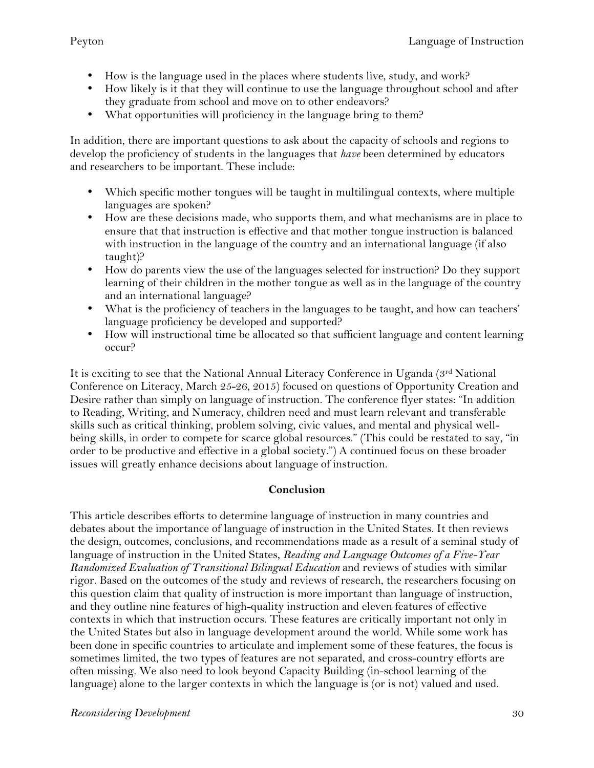- How is the language used in the places where students live, study, and work?
- How likely is it that they will continue to use the language throughout school and after they graduate from school and move on to other endeavors?
- What opportunities will proficiency in the language bring to them?

In addition, there are important questions to ask about the capacity of schools and regions to develop the proficiency of students in the languages that *have* been determined by educators and researchers to be important. These include:

- Which specific mother tongues will be taught in multilingual contexts, where multiple languages are spoken?
- How are these decisions made, who supports them, and what mechanisms are in place to ensure that that instruction is effective and that mother tongue instruction is balanced with instruction in the language of the country and an international language (if also taught)?
- How do parents view the use of the languages selected for instruction? Do they support learning of their children in the mother tongue as well as in the language of the country and an international language?
- What is the proficiency of teachers in the languages to be taught, and how can teachers' language proficiency be developed and supported?
- How will instructional time be allocated so that sufficient language and content learning occur?

It is exciting to see that the National Annual Literacy Conference in Uganda (3rd National Conference on Literacy, March 25-26, 2015) focused on questions of Opportunity Creation and Desire rather than simply on language of instruction. The conference flyer states: "In addition to Reading, Writing, and Numeracy, children need and must learn relevant and transferable skills such as critical thinking, problem solving, civic values, and mental and physical wellbeing skills, in order to compete for scarce global resources." (This could be restated to say, "in order to be productive and effective in a global society.") A continued focus on these broader issues will greatly enhance decisions about language of instruction.

# **Conclusion**

This article describes efforts to determine language of instruction in many countries and debates about the importance of language of instruction in the United States. It then reviews the design, outcomes, conclusions, and recommendations made as a result of a seminal study of language of instruction in the United States, *Reading and Language Outcomes of a Five-Year Randomized Evaluation of Transitional Bilingual Education* and reviews of studies with similar rigor. Based on the outcomes of the study and reviews of research, the researchers focusing on this question claim that quality of instruction is more important than language of instruction, and they outline nine features of high-quality instruction and eleven features of effective contexts in which that instruction occurs. These features are critically important not only in the United States but also in language development around the world. While some work has been done in specific countries to articulate and implement some of these features, the focus is sometimes limited, the two types of features are not separated, and cross-country efforts are often missing. We also need to look beyond Capacity Building (in-school learning of the language) alone to the larger contexts in which the language is (or is not) valued and used.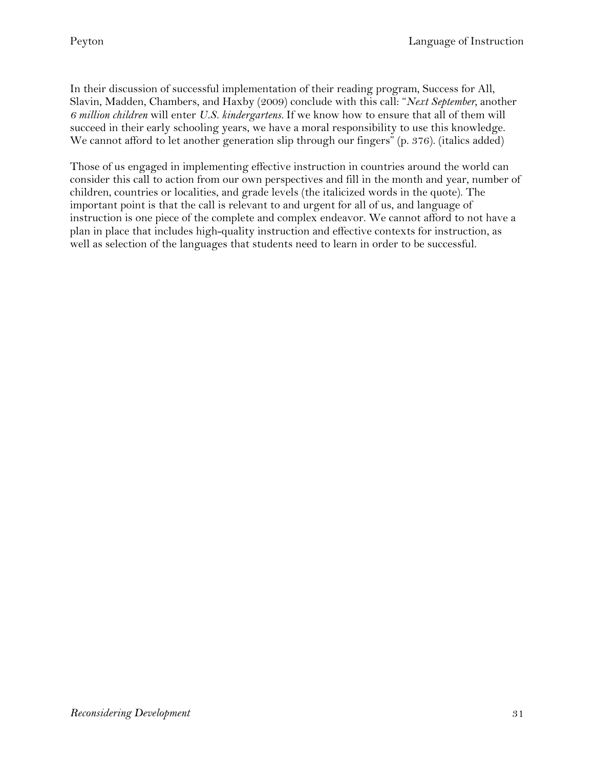In their discussion of successful implementation of their reading program, Success for All, Slavin, Madden, Chambers, and Haxby (2009) conclude with this call: "*Next September,* another *6 million children* will enter *U.S. kindergartens.* If we know how to ensure that all of them will succeed in their early schooling years, we have a moral responsibility to use this knowledge. We cannot afford to let another generation slip through our fingers" (p. 376). (italics added)

Those of us engaged in implementing effective instruction in countries around the world can consider this call to action from our own perspectives and fill in the month and year, number of children, countries or localities, and grade levels (the italicized words in the quote). The important point is that the call is relevant to and urgent for all of us, and language of instruction is one piece of the complete and complex endeavor. We cannot afford to not have a plan in place that includes high-quality instruction and effective contexts for instruction, as well as selection of the languages that students need to learn in order to be successful.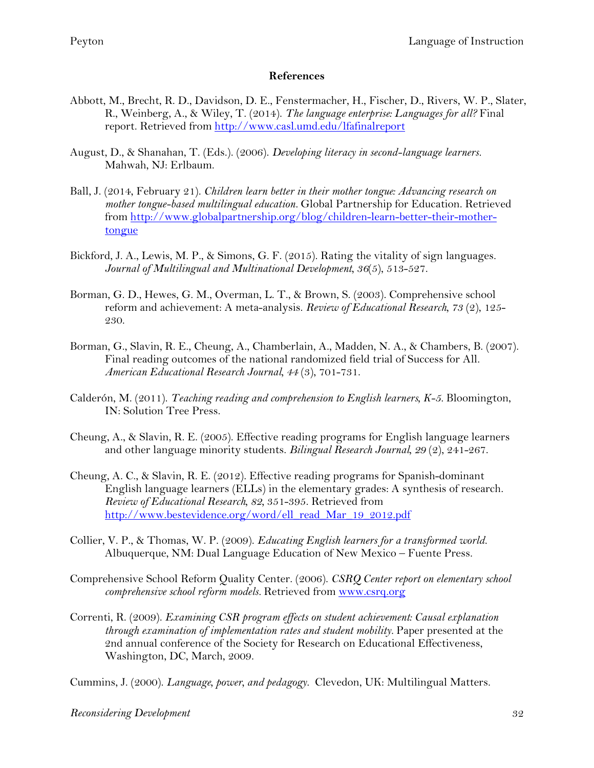#### **References**

- Abbott, M., Brecht, R. D., Davidson, D. E., Fenstermacher, H., Fischer, D., Rivers, W. P., Slater, R., Weinberg, A., & Wiley, T. (2014). *The language enterprise: Languages for all?* Final report. Retrieved from http://www.casl.umd.edu/lfafinalreport
- August, D., & Shanahan, T. (Eds.). (2006). *Developing literacy in second-language learners.* Mahwah, NJ: Erlbaum.
- Ball, J. (2014, February 21). *Children learn better in their mother tongue: Advancing research on mother tongue-based multilingual education.* Global Partnership for Education. Retrieved from http://www.globalpartnership.org/blog/children-learn-better-their-mothertongue
- Bickford, J. A., Lewis, M. P., & Simons, G. F. (2015). Rating the vitality of sign languages. *Journal of Multilingual and Multinational Development, 36*(5), 513-527.
- Borman, G. D., Hewes, G. M., Overman, L. T., & Brown, S. (2003). Comprehensive school reform and achievement: A meta-analysis. *Review of Educational Research, 73* (2), 125- 230.
- Borman, G., Slavin, R. E., Cheung, A., Chamberlain, A., Madden, N. A., & Chambers, B. (2007). Final reading outcomes of the national randomized field trial of Success for All. *American Educational Research Journal, 44* (3), 701-731.
- Calderón, M. (2011). *Teaching reading and comprehension to English learners, K-5.* Bloomington, IN: Solution Tree Press.
- Cheung, A., & Slavin, R. E. (2005). Effective reading programs for English language learners and other language minority students. *Bilingual Research Journal, 29* (2), 241-267.
- Cheung, A. C., & Slavin, R. E. (2012). Effective reading programs for Spanish-dominant English language learners (ELLs) in the elementary grades: A synthesis of research. *Review of Educational Research, 82,* 351-395. Retrieved from http://www.bestevidence.org/word/ell\_read\_Mar\_19\_2012.pdf
- Collier, V. P., & Thomas, W. P. (2009). *Educating English learners for a transformed world.*  Albuquerque, NM: Dual Language Education of New Mexico – Fuente Press.
- Comprehensive School Reform Quality Center. (2006). *CSRQ Center report on elementary school comprehensive school reform models.* Retrieved from www.csrq.org
- Correnti, R. (2009). *Examining CSR program effects on student achievement: Causal explanation through examination of implementation rates and student mobility.* Paper presented at the 2nd annual conference of the Society for Research on Educational Effectiveness, Washington, DC, March, 2009.

Cummins, J. (2000). *Language, power, and pedagogy.* Clevedon, UK: Multilingual Matters.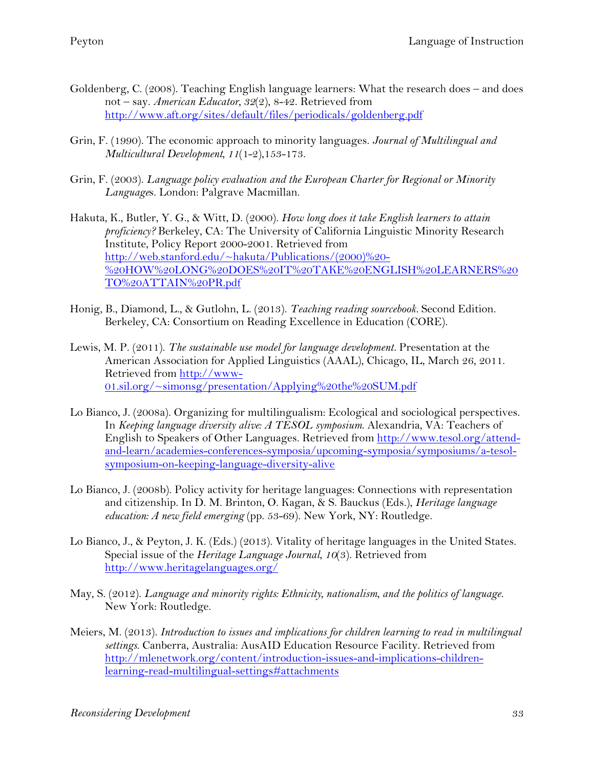- Goldenberg, C. (2008). Teaching English language learners: What the research does and does not – say. *American Educator, 32*(2), 8-42. Retrieved from http://www.aft.org/sites/default/files/periodicals/goldenberg.pdf
- Grin, F. (1990). The economic approach to minority languages. *Journal of Multilingual and Multicultural Development, 11*(1-2),153-173.
- Grin, F. (2003). *Language policy evaluation and the European Charter for Regional or Minority Language*s. London: Palgrave Macmillan.
- Hakuta, K., Butler, Y. G., & Witt, D. (2000). *How long does it take English learners to attain proficiency?* Berkeley, CA: The University of California Linguistic Minority Research Institute, Policy Report 2000-2001. Retrieved from http://web.stanford.edu/~hakuta/Publications/(2000)%20- %20HOW%20LONG%20DOES%20IT%20TAKE%20ENGLISH%20LEARNERS%20 TO%20ATTAIN%20PR.pdf
- Honig, B., Diamond, L., & Gutlohn, L. (2013). *Teaching reading sourcebook.* Second Edition. Berkeley, CA: Consortium on Reading Excellence in Education (CORE).
- Lewis, M. P. (2011). *The sustainable use model for language development.* Presentation at the American Association for Applied Linguistics (AAAL), Chicago, IL, March 26, 2011. Retrieved from http://www-01.sil.org/~simonsg/presentation/Applying%20the%20SUM.pdf
- Lo Bianco, J. (2008a). Organizing for multilingualism: Ecological and sociological perspectives. In *Keeping language diversity alive: A TESOL symposium*. Alexandria, VA: Teachers of English to Speakers of Other Languages. Retrieved from http://www.tesol.org/attendand-learn/academies-conferences-symposia/upcoming-symposia/symposiums/a-tesolsymposium-on-keeping-language-diversity-alive
- Lo Bianco, J. (2008b). Policy activity for heritage languages: Connections with representation and citizenship. In D. M. Brinton, O. Kagan, & S. Bauckus (Eds.), *Heritage language education: A new field emerging* (pp. 53-69). New York, NY: Routledge.
- Lo Bianco, J., & Peyton, J. K. (Eds.) (2013). Vitality of heritage languages in the United States. Special issue of the *Heritage Language Journal*, *10*(3). Retrieved from http://www.heritagelanguages.org/
- May, S. (2012). *Language and minority rights: Ethnicity, nationalism, and the politics of language.* New York: Routledge.
- Meiers, M. (2013). *Introduction to issues and implications for children learning to read in multilingual settings*. Canberra, Australia: AusAID Education Resource Facility. Retrieved from http://mlenetwork.org/content/introduction-issues-and-implications-childrenlearning-read-multilingual-settings#attachments